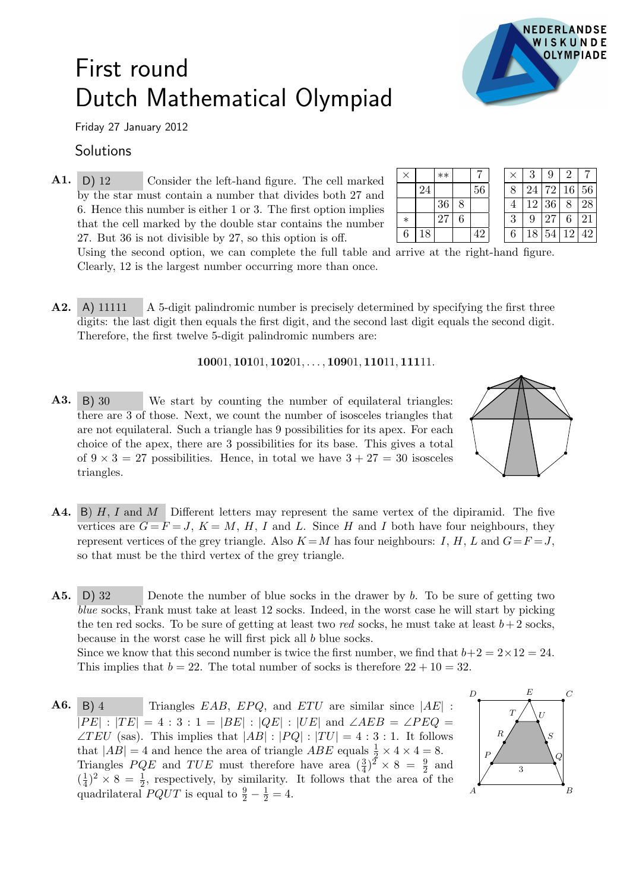

## First round Dutch Mathematical Olympiad

Friday 27 January 2012

## Solutions

A1. <sup>×</sup> ∗∗ <sup>7</sup> D) 12 Consider the left-hand figure. The cell marked by the star must contain a number that divides both 27 and 6. Hence this number is either 1 or 3. The first option implies that the cell marked by the double star contains the number 27. But 36 is not divisible by 27, so this option is off.

| $\times$ |    | $**$            |    | $\times$ 1 | 3  | 9     | $\mathcal{L}$ |    |
|----------|----|-----------------|----|------------|----|-------|---------------|----|
|          |    |                 | 56 |            |    |       | 24 72 16 56   |    |
|          |    | 36 <sup>1</sup> |    |            |    | 12 36 | $^{\circ}8$ . | 28 |
| $\ast$   |    | 27              |    |            | 9  | 27    | 6             | 21 |
| 6        | 18 |                 | 42 | 6          | 18 |       | 54 12 42      |    |

Using the second option, we can complete the full table and arrive at the right-hand figure. Clearly, 12 is the largest number occurring more than once.

A2. A) 11111 A 5-digit palindromic number is precisely determined by specifying the first three digits: the last digit then equals the first digit, and the second last digit equals the second digit. Therefore, the first twelve 5-digit palindromic numbers are:

## 10001, 10101, 10201, . . . , 10901, 11011, 11111.

- A3. B) 30 We start by counting the number of equilateral triangles: there are 3 of those. Next, we count the number of isosceles triangles that are not equilateral. Such a triangle has 9 possibilities for its apex. For each choice of the apex, there are 3 possibilities for its base. This gives a total of  $9 \times 3 = 27$  possibilities. Hence, in total we have  $3 + 27 = 30$  isosceles triangles.
- 
- **A4.** B) H, I and M Different letters may represent the same vertex of the dipiramid. The five vertices are  $G = F = J$ ,  $K = M$ , H, I and L. Since H and I both have four neighbours, they represent vertices of the grey triangle. Also  $K = M$  has four neighbours: I, H, L and  $G = F = J$ , so that must be the third vertex of the grey triangle.

A5. D) 32 Denote the number of blue socks in the drawer by b. To be sure of getting two blue socks, Frank must take at least 12 socks. Indeed, in the worst case he will start by picking the ten red socks. To be sure of getting at least two red socks, he must take at least  $b+2$  socks, because in the worst case he will first pick all b blue socks. Since we know that this second number is twice the first number, we find that  $b+2 = 2 \times 12 = 24$ . This implies that  $b = 22$ . The total number of socks is therefore  $22 + 10 = 32$ .

 $A6.$  $B$ ) 4 Triangles EAB, EPQ, and ETU are similar since  $|AE|$ :  $\overline{|PE| : |TE|} = 4 : 3 : 1 = |BE| : |QE| : |UE|$  and  $\angle AEB = \angle PEQ =$  $\angle TEU$  (sas). This implies that  $|AB|: |PQ|: |TU| = 4:3:1$ . It follows that  $|AB| = 4$  and hence the area of triangle  $ABE$  equals  $\frac{1}{2} \times 4 \times 4 = 8$ . Triangles  $PQE$  and  $TUE$  must therefore have area  $(\frac{3}{4})^2 \times 8 = \frac{9}{2}$  and  $\left(\frac{1}{4}\right)$  $\frac{1}{4}$ )<sup>2</sup> × 8 =  $\frac{1}{2}$ , respectively, by similarity. It follows that the area of the quadrilateral  $PQUT$  is equal to  $\frac{9}{2} - \frac{1}{2} = 4$ .